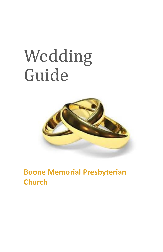# Wedding Guide



**Boone Memorial Presbyterian Church**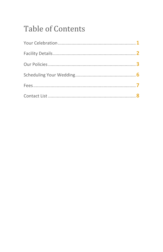## **Table of Contents**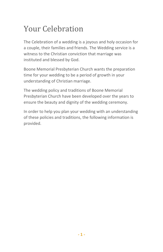### Your Celebration

The Celebration of a wedding is a joyous and holy occasion for a couple, their families and friends. The Wedding service is a witness to the Christian conviction that marriage was instituted and blessed by God.

Boone Memorial Presbyterian Church wants the preparation time for your wedding to be a period of growth in your understanding of Christian marriage.

The wedding policy and traditions of Boone Memorial Presbyterian Church have been developed over the years to ensure the beauty and dignity of the wedding ceremony.

In order to help you plan your wedding with an understanding of these policies and traditions, the following information is provided.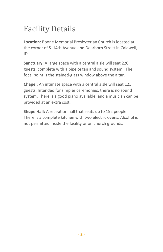## Facility Details

**Location:** Boone Memorial Presbyterian Church is located at the corner of S. 14th Avenue and Dearborn Street in Caldwell, ID.

**Sanctuary:** A large space with a central aisle will seat 220 guests, complete with a pipe organ and sound system. The focal point is the stained-glass window above the altar.

**Chapel:** An intimate space with a central aisle will seat 125 guests. Intended for simpler ceremonies, there is no sound system. There is a good piano available, and a musician can be provided at an extra cost.

**Shupe Hall:** A reception hall that seats up to 152 people. There is a complete kitchen with two electric ovens. Alcohol is not permitted inside the facility or on church grounds.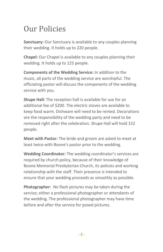### Our Policies

**Sanctuary:** Our Sanctuary is available to any couples planning their wedding. It holds up to 220 people.

**Chapel:** Our Chapel is available to any couples planning their wedding. It holds up to 125 people.

**Components of the Wedding Service:** In addition to the music, all parts of the wedding service are worshipful. The officiating pastor will discuss the components of the wedding service with you.

**Shupe Hall:** The reception hall is available for use for an additional fee of \$200. The electric stoves are available to keep food warm. Dishware will need to be rented. Decorations are the responsibility of the wedding party and need to be removed right after the celebration. Shupe Hall will hold 152 people.

**Meet with Pastor:** The bride and groom are asked to meet at least twice with Boone's pastor prior to the wedding.

**Wedding Coordinator:** The wedding coordinator's services are required by church policy, because of their knowledge of Boone Memorial Presbyterian Church, its policies and working relationship with the staff. Their presence is intended to ensure that your wedding proceeds as smoothly as possible.

**Photographer:** No flash pictures may be taken during the service; either a professional photographer or attendants of the wedding. The professional photographer may have time before and after the service for posed pictures.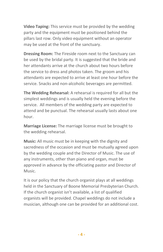**Video Taping:** This service must be provided by the wedding party and the equipment must be positioned behind the pillars last row. Only video equipment without an operator may be used at the front of the sanctuary.

**Dressing Room:** The Fireside room next to the Sanctuary can be used by the bridal party. It is suggested that the bride and her attendants arrive at the church about two hours before the service to dress and photos taken. The groom and his attendants are expected to arrive at least one hour before the service. Snacks and non-alcoholic beverages are permitted.

**The Wedding Rehearsal:** A rehearsal is required for all but the simplest weddings and is usually held the evening before the service. All members of the wedding party are expected to attend and be punctual. The rehearsal usually lasts about one hour.

**Marriage License:** The marriage license must be brought to the wedding rehearsal.

**Music:** All music must be in keeping with the dignity and sacredness of the occasion and must be mutually agreed upon by the wedding couple and the Director of Music. The use of any instruments, other than piano and organ, must be approved in advance by the officiating pastor and Director of Music.

It is our policy that the church organist plays at all weddings held in the Sanctuary of Boone Memorial Presbyterian Church. If the church organist isn't available, a list of qualified organists will be provided. Chapel weddings do not include a musician, although one can be provided for an additional cost.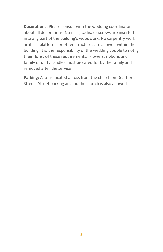**Decorations:** Please consult with the wedding coordinator about all decorations. No nails, tacks, or screws are inserted into any part of the building's woodwork. No carpentry work, artificial platforms or other structures are allowed within the building. It is the responsibility of the wedding couple to notify their florist of these requirements. Flowers, ribbons and family or unity candles must be cared for by the family and removed after the service.

**Parking:** A lot is located across from the church on Dearborn Street. Street parking around the church is also allowed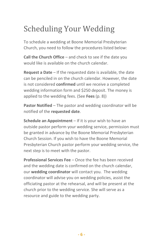## Scheduling Your Wedding

To schedule a wedding at Boone Memorial Presbyterian Church, you need to follow the procedures listed below:

**Call the Church Office** – and check to see if the date you would like is available on the church calendar.

**Request a Date** – If the requested date is available, the date can be penciled in on the church calendar. However, the date is not considered **confirmed** until we receive a completed wedding information form and \$250 deposit. The money is applied to the wedding fees. (See **Fees** (p. 8))

**Pastor Notified** – The pastor and wedding coordinator will be notified of the **requested date**.

**Schedule an Appointment** – If it is your wish to have an outside pastor perform your wedding service, permission must be granted in advance by the Boone Memorial Presbyterian Church Session. If you wish to have the Boone Memorial Presbyterian Church pastor perform your wedding service, the next step is to meet with the pastor.

**Professional Services Fee** – Once the fee has been received and the wedding date is confirmed on the church calendar, our **wedding coordinator** will contact you. The wedding coordinator will advise you on wedding policies, assist the officiating pastor at the rehearsal, and will be present at the church prior to the wedding service. She will serve as a resource and guide to the wedding party.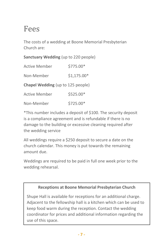#### Fees

The costs of a wedding at Boone Memorial Presbyterian Church are:

#### **Sanctuary Wedding** (up to 220 people)

| <b>Active Member</b> | \$775.00*    |
|----------------------|--------------|
| Non-Member           | $$1,175.00*$ |

**Chapel Wedding** (up to 125 people)

| <b>Active Member</b> | \$525.00* |
|----------------------|-----------|
|                      |           |

Non-Member \$725.00\*

\*This number includes a deposit of \$100. The security deposit is a compliance agreement and is refundable if there is no damage to the building or excessive cleaning required after the wedding service

All weddings require a \$250 deposit to secure a date on the church calendar. This money is put towards the remaining amount due.

Weddings are required to be paid in full one week prior to the wedding rehearsal.

#### **Receptions at Boone Memorial Presbyterian Church**

Shupe Hall is available for receptions for an additional charge. Adjacent to the fellowship hall is a kitchen which can be used to keep food warm during the reception. Contact the wedding coordinator for prices and additional information regarding the use of this space.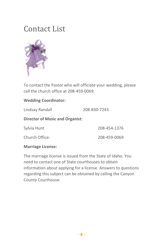#### Contact List



To contact the Pastor who will officiate your wedding, please call the church office at 208-459-0069.

#### **Wedding Coordinator:**

Lindsay Randall 208-830-7243

**Director of Music and Organist:**

Sylvia Hunt 208-454-1376

Church Office: 208-459-0069

**Marriage License:**

The marriage license is issued from the State of Idaho. You need to contact one of State courthouses to obtain information about applying for a license. Answers to questions regarding this subject can be obtained by calling the Canyon County Courthouse.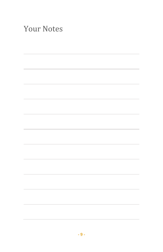| <b>Your Notes</b> |  |  |
|-------------------|--|--|
|                   |  |  |
|                   |  |  |
|                   |  |  |
|                   |  |  |
|                   |  |  |
|                   |  |  |
|                   |  |  |
|                   |  |  |
|                   |  |  |
|                   |  |  |
|                   |  |  |
|                   |  |  |